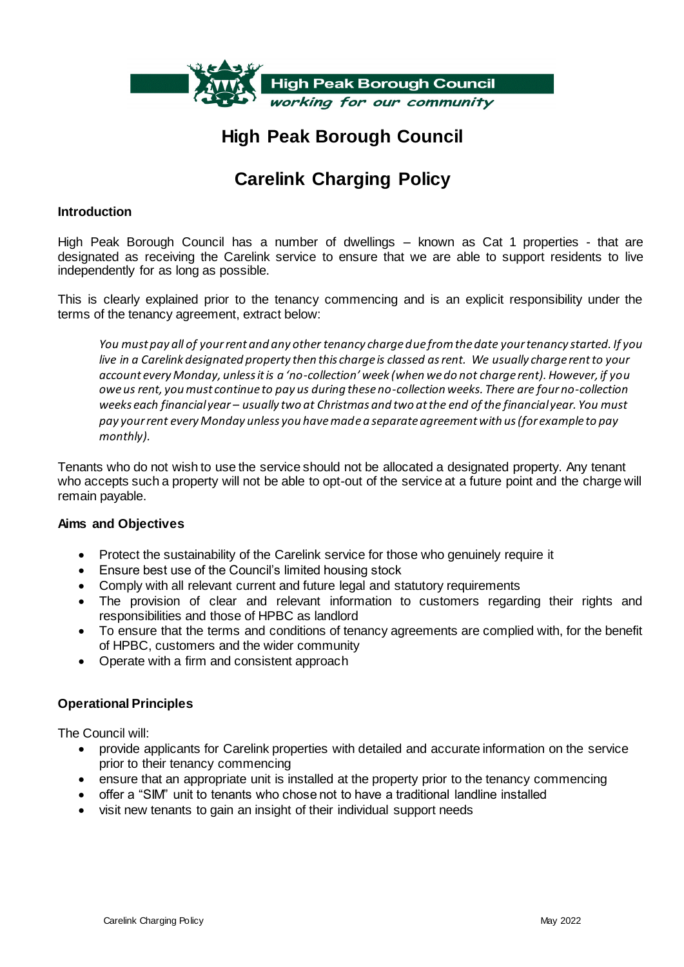

# **High Peak Borough Council**

# **Carelink Charging Policy**

#### **Introduction**

High Peak Borough Council has a number of dwellings – known as Cat 1 properties - that are designated as receiving the Carelink service to ensure that we are able to support residents to live independently for as long as possible.

This is clearly explained prior to the tenancy commencing and is an explicit responsibility under the terms of the tenancy agreement, extract below:

*You must pay all of your rent and any other tenancy charge due from the date your tenancy started. If you live in a Carelink designated property then this charge is classed as rent. We usually charge rent to your account every Monday, unless it is a 'no-collection' week (when we do not charge rent). However, if you owe us rent, you must continue to pay us during these no-collection weeks. There are four no-collection weeks each financial year – usually two at Christmas and two at the end of the financial year. You must pay your rent every Monday unless you have made a separate agreement with us (for example to pay monthly).*

Tenants who do not wish to use the service should not be allocated a designated property. Any tenant who accepts such a property will not be able to opt-out of the service at a future point and the charge will remain payable.

#### **Aims and Objectives**

- Protect the sustainability of the Carelink service for those who genuinely require it
- Ensure best use of the Council's limited housing stock
- Comply with all relevant current and future legal and statutory requirements
- The provision of clear and relevant information to customers regarding their rights and responsibilities and those of HPBC as landlord
- To ensure that the terms and conditions of tenancy agreements are complied with, for the benefit of HPBC, customers and the wider community
- Operate with a firm and consistent approach

#### **Operational Principles**

The Council will:

- provide applicants for Carelink properties with detailed and accurate information on the service prior to their tenancy commencing
- ensure that an appropriate unit is installed at the property prior to the tenancy commencing
- offer a "SIM" unit to tenants who chose not to have a traditional landline installed
- visit new tenants to gain an insight of their individual support needs